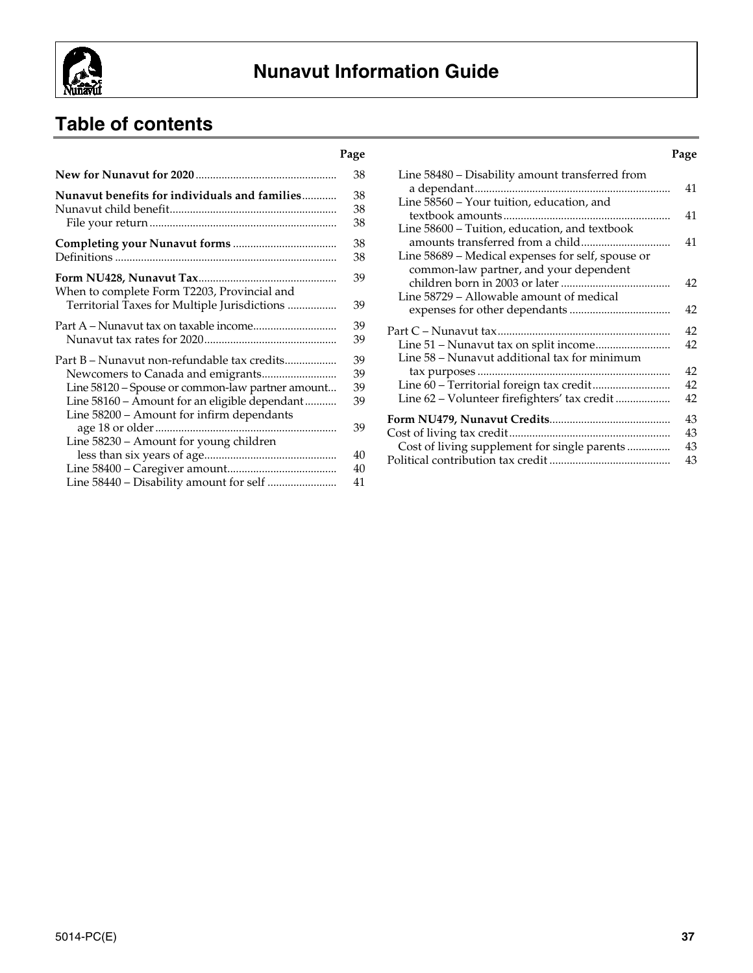

# **Nunavut Information Guide**

# **Table of contents**

|                                                  | 38 |
|--------------------------------------------------|----|
| Nunavut benefits for individuals and families    | 38 |
|                                                  | 38 |
|                                                  | 38 |
|                                                  | 38 |
|                                                  | 38 |
| When to complete Form T2203, Provincial and      | 39 |
| Territorial Taxes for Multiple Jurisdictions     | 39 |
|                                                  | 39 |
|                                                  | 39 |
| Part B – Nunavut non-refundable tax credits      | 39 |
|                                                  | 39 |
| Line 58120 – Spouse or common-law partner amount | 39 |
| Line 58160 - Amount for an eligible dependant    | 39 |
| Line 58200 - Amount for infirm dependants        |    |
|                                                  | 39 |
| Line 58230 - Amount for young children           |    |
|                                                  | 40 |
|                                                  | 40 |
|                                                  | 41 |

| Page             |                                                   | Page |
|------------------|---------------------------------------------------|------|
| 38               | Line 58480 - Disability amount transferred from   |      |
| 38               |                                                   | 41   |
| 38               | Line 58560 - Your tuition, education, and         |      |
|                  |                                                   | 41   |
| 38               | Line 58600 - Tuition, education, and textbook     |      |
| 38               |                                                   | 41   |
| 38               | Line 58689 – Medical expenses for self, spouse or |      |
| 39               | common-law partner, and your dependent            |      |
|                  |                                                   | 42   |
| 39               | Line 58729 – Allowable amount of medical          |      |
|                  |                                                   | 42   |
| 39               |                                                   | 42   |
| 39               |                                                   | 42   |
|                  | Line 58 - Nunavut additional tax for minimum      |      |
| 39               |                                                   | 42   |
| 39               |                                                   | 42   |
| 39               |                                                   | 42   |
| 39               |                                                   |      |
| 39               |                                                   | 43   |
|                  |                                                   | 43   |
|                  | Cost of living supplement for single parents      | 43   |
| 40<br>$\sqrt{2}$ |                                                   | 43   |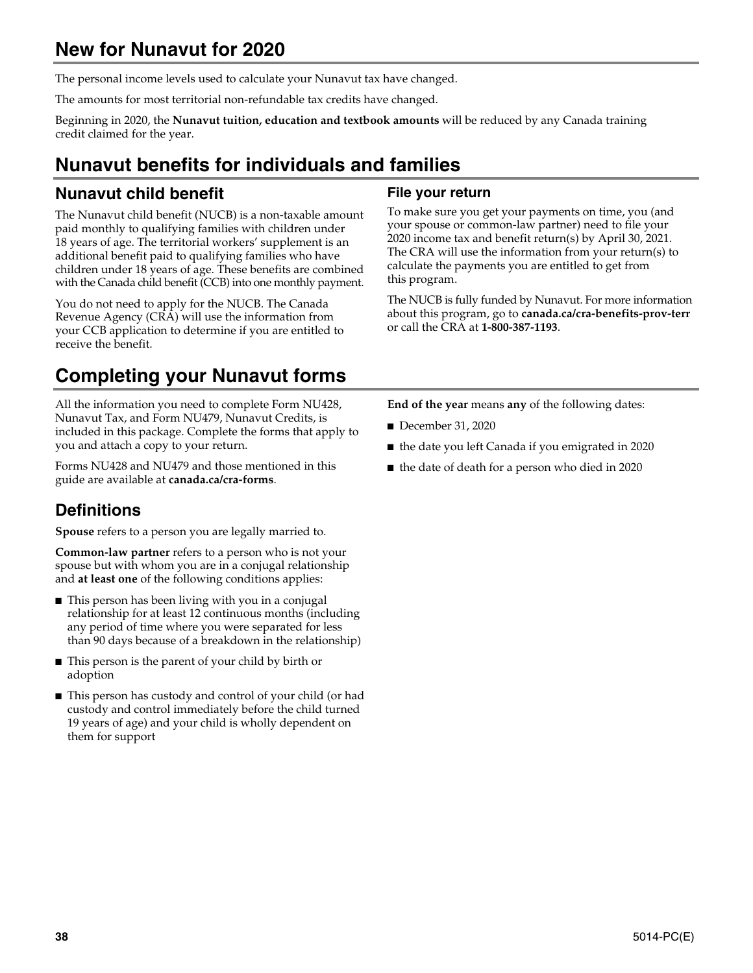## **New for Nunavut for 2020**

The personal income levels used to calculate your Nunavut tax have changed.

The amounts for most territorial non-refundable tax credits have changed.

Beginning in 2020, the **Nunavut tuition, education and textbook amounts** will be reduced by any Canada training credit claimed for the year.

# **Nunavut benefits for individuals and families**

## **Nunavut child benefit**

The Nunavut child benefit (NUCB) is a non-taxable amount paid monthly to qualifying families with children under 18 years of age. The territorial workers' supplement is an additional benefit paid to qualifying families who have children under 18 years of age. These benefits are combined with the Canada child benefit (CCB) into one monthly payment.

You do not need to apply for the NUCB. The Canada Revenue Agency (CRA) will use the information from your CCB application to determine if you are entitled to receive the benefit.

# **Completing your Nunavut forms**

All the information you need to complete Form NU428, Nunavut Tax, and Form NU479, Nunavut Credits, is included in this package. Complete the forms that apply to you and attach a copy to your return.

Forms NU428 and NU479 and those mentioned in this guide are available at **canada.ca/cra-forms**.

## **Definitions**

**Spouse** refers to a person you are legally married to.

**Common-law partner** refers to a person who is not your spouse but with whom you are in a conjugal relationship and **at least one** of the following conditions applies:

- This person has been living with you in a conjugal relationship for at least 12 continuous months (including any period of time where you were separated for less than 90 days because of a breakdown in the relationship)
- This person is the parent of your child by birth or adoption
- This person has custody and control of your child (or had custody and control immediately before the child turned 19 years of age) and your child is wholly dependent on them for support

#### **File your return**

To make sure you get your payments on time, you (and your spouse or common-law partner) need to file your 2020 income tax and benefit return(s) by April 30, 2021. The CRA will use the information from your return(s) to calculate the payments you are entitled to get from this program.

The NUCB is fully funded by Nunavut. For more information about this program, go to **canada.ca/cra-benefits-prov-terr**  or call the CRA at **1-800-387-1193**.

**End of the year** means **any** of the following dates:

- December 31, 2020
- the date you left Canada if you emigrated in 2020
- the date of death for a person who died in 2020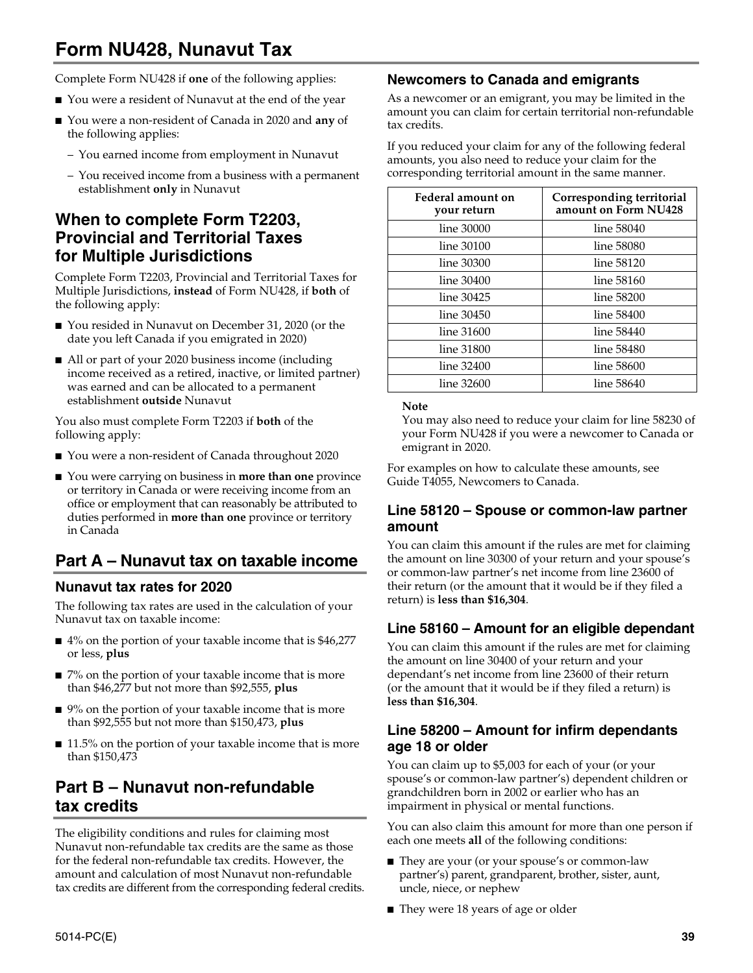# **Form NU428, Nunavut Tax**

Complete Form NU428 if **one** of the following applies:

- You were a resident of Nunavut at the end of the year
- You were a non-resident of Canada in 2020 and any of the following applies:
	- You earned income from employment in Nunavut
	- You received income from a business with a permanent establishment **only** in Nunavut

## **When to complete Form T2203, Provincial and Territorial Taxes for Multiple Jurisdictions**

Complete Form T2203, Provincial and Territorial Taxes for Multiple Jurisdictions, **instead** of Form NU428, if **both** of the following apply:

- You resided in Nunavut on December 31, 2020 (or the date you left Canada if you emigrated in 2020)
- All or part of your 2020 business income (including income received as a retired, inactive, or limited partner) was earned and can be allocated to a permanent establishment **outside** Nunavut

You also must complete Form T2203 if **both** of the following apply:

- You were a non-resident of Canada throughout 2020
- You were carrying on business in **more than one** province or territory in Canada or were receiving income from an office or employment that can reasonably be attributed to duties performed in **more than one** province or territory in Canada

## **Part A – Nunavut tax on taxable income**

#### **Nunavut tax rates for 2020**

The following tax rates are used in the calculation of your Nunavut tax on taxable income:

- 4% on the portion of your taxable income that is \$46,277 or less, **plus**
- 7% on the portion of your taxable income that is more than \$46,277 but not more than \$92,555, **plus**
- 9% on the portion of your taxable income that is more than \$92,555 but not more than \$150,473, **plus**
- 11.5% on the portion of your taxable income that is more than \$150,473

### **Part B – Nunavut non-refundable tax credits**

The eligibility conditions and rules for claiming most Nunavut non-refundable tax credits are the same as those for the federal non-refundable tax credits. However, the amount and calculation of most Nunavut non-refundable tax credits are different from the corresponding federal credits.

#### **Newcomers to Canada and emigrants**

As a newcomer or an emigrant, you may be limited in the amount you can claim for certain territorial non-refundable tax credits.

If you reduced your claim for any of the following federal amounts, you also need to reduce your claim for the corresponding territorial amount in the same manner.

| Federal amount on<br>your return | Corresponding territorial<br>amount on Form NU428 |
|----------------------------------|---------------------------------------------------|
| line 30000                       | line 58040                                        |
| line 30100                       | line 58080                                        |
| line 30300                       | line 58120                                        |
| line 30400                       | line 58160                                        |
| line 30425                       | line 58200                                        |
| line 30450                       | line 58400                                        |
| line 31600                       | line 58440                                        |
| line 31800                       | line 58480                                        |
| line 32400                       | line 58600                                        |
| line 32600                       | line 58640                                        |

#### **Note**

You may also need to reduce your claim for line 58230 of your Form NU428 if you were a newcomer to Canada or emigrant in 2020.

For examples on how to calculate these amounts, see Guide T4055, Newcomers to Canada.

#### **Line 58120 – Spouse or common-law partner amount**

You can claim this amount if the rules are met for claiming the amount on line 30300 of your return and your spouse's or common-law partner's net income from line 23600 of their return (or the amount that it would be if they filed a return) is **less than \$16,304**.

#### **Line 58160 – Amount for an eligible dependant**

You can claim this amount if the rules are met for claiming the amount on line 30400 of your return and your dependant's net income from line 23600 of their return (or the amount that it would be if they filed a return) is **less than \$16,304**.

#### **Line 58200 – Amount for infirm dependants age 18 or older**

You can claim up to \$5,003 for each of your (or your spouse's or common-law partner's) dependent children or grandchildren born in 2002 or earlier who has an impairment in physical or mental functions.

You can also claim this amount for more than one person if each one meets **all** of the following conditions:

- They are your (or your spouse's or common-law partner's) parent, grandparent, brother, sister, aunt, uncle, niece, or nephew
- They were 18 years of age or older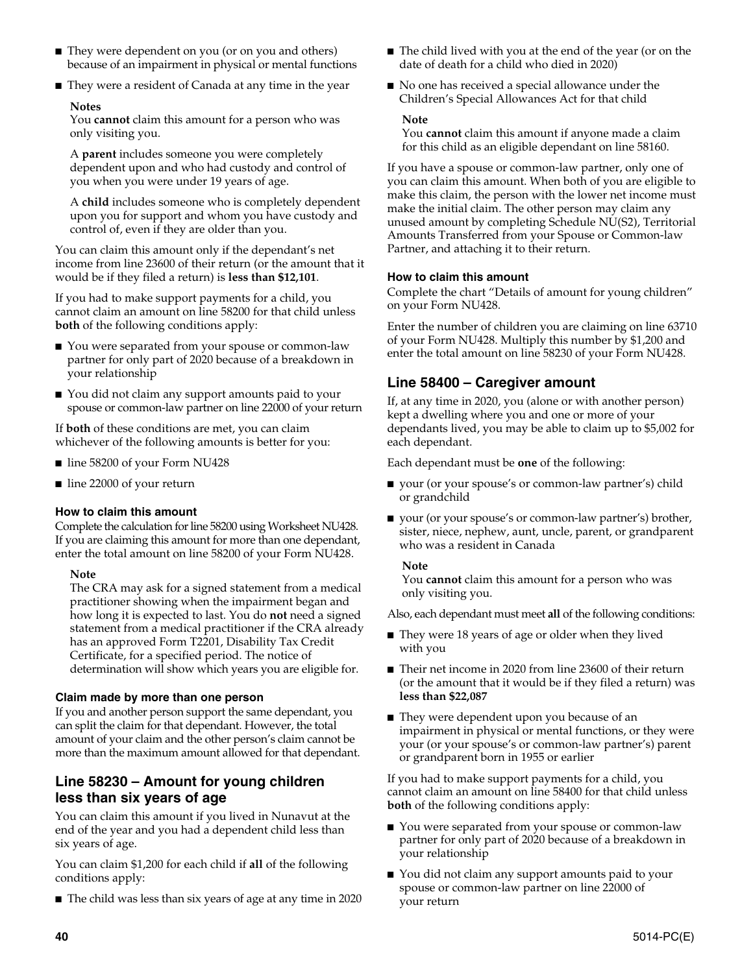- They were dependent on you (or on you and others) because of an impairment in physical or mental functions
- They were a resident of Canada at any time in the year

#### **Notes**

You **cannot** claim this amount for a person who was only visiting you.

A **parent** includes someone you were completely dependent upon and who had custody and control of you when you were under 19 years of age.

A **child** includes someone who is completely dependent upon you for support and whom you have custody and control of, even if they are older than you.

You can claim this amount only if the dependant's net income from line 23600 of their return (or the amount that it would be if they filed a return) is **less than \$12,101**.

If you had to make support payments for a child, you cannot claim an amount on line 58200 for that child unless **both** of the following conditions apply:

- You were separated from your spouse or common-law partner for only part of 2020 because of a breakdown in your relationship
- You did not claim any support amounts paid to your spouse or common-law partner on line 22000 of your return

If **both** of these conditions are met, you can claim whichever of the following amounts is better for you:

- line 58200 of your Form NU428
- line 22000 of your return

#### **How to claim this amount**

Complete the calculation for line 58200 using Worksheet NU428. If you are claiming this amount for more than one dependant, enter the total amount on line 58200 of your Form NU428.

#### **Note**

The CRA may ask for a signed statement from a medical practitioner showing when the impairment began and how long it is expected to last. You do **not** need a signed statement from a medical practitioner if the CRA already has an approved Form T2201, Disability Tax Credit Certificate, for a specified period. The notice of determination will show which years you are eligible for.

#### **Claim made by more than one person**

If you and another person support the same dependant, you can split the claim for that dependant. However, the total amount of your claim and the other person's claim cannot be more than the maximum amount allowed for that dependant.

### **Line 58230 – Amount for young children less than six years of age**

You can claim this amount if you lived in Nunavut at the end of the year and you had a dependent child less than six years of age.

You can claim \$1,200 for each child if **all** of the following conditions apply:

■ The child was less than six years of age at any time in 2020

- The child lived with you at the end of the year (or on the date of death for a child who died in 2020)
- No one has received a special allowance under the Children's Special Allowances Act for that child

#### **Note**

You **cannot** claim this amount if anyone made a claim for this child as an eligible dependant on line 58160.

If you have a spouse or common-law partner, only one of you can claim this amount. When both of you are eligible to make this claim, the person with the lower net income must make the initial claim. The other person may claim any unused amount by completing Schedule NU(S2), Territorial Amounts Transferred from your Spouse or Common-law Partner, and attaching it to their return.

#### **How to claim this amount**

Complete the chart "Details of amount for young children" on your Form NU428.

Enter the number of children you are claiming on line 63710 of your Form NU428. Multiply this number by \$1,200 and enter the total amount on line 58230 of your Form NU428.

### **Line 58400 – Caregiver amount**

If, at any time in 2020, you (alone or with another person) kept a dwelling where you and one or more of your dependants lived, you may be able to claim up to \$5,002 for each dependant.

Each dependant must be **one** of the following:

- your (or your spouse's or common-law partner's) child or grandchild
- your (or your spouse's or common-law partner's) brother, sister, niece, nephew, aunt, uncle, parent, or grandparent who was a resident in Canada

#### **Note**

You **cannot** claim this amount for a person who was only visiting you.

Also, each dependant must meet **all** of the following conditions:

- They were 18 years of age or older when they lived with you
- Their net income in 2020 from line 23600 of their return (or the amount that it would be if they filed a return) was **less than \$22,087**
- They were dependent upon you because of an impairment in physical or mental functions, or they were your (or your spouse's or common-law partner's) parent or grandparent born in 1955 or earlier

If you had to make support payments for a child, you cannot claim an amount on line 58400 for that child unless **both** of the following conditions apply:

- You were separated from your spouse or common-law partner for only part of 2020 because of a breakdown in your relationship
- You did not claim any support amounts paid to your spouse or common-law partner on line 22000 of your return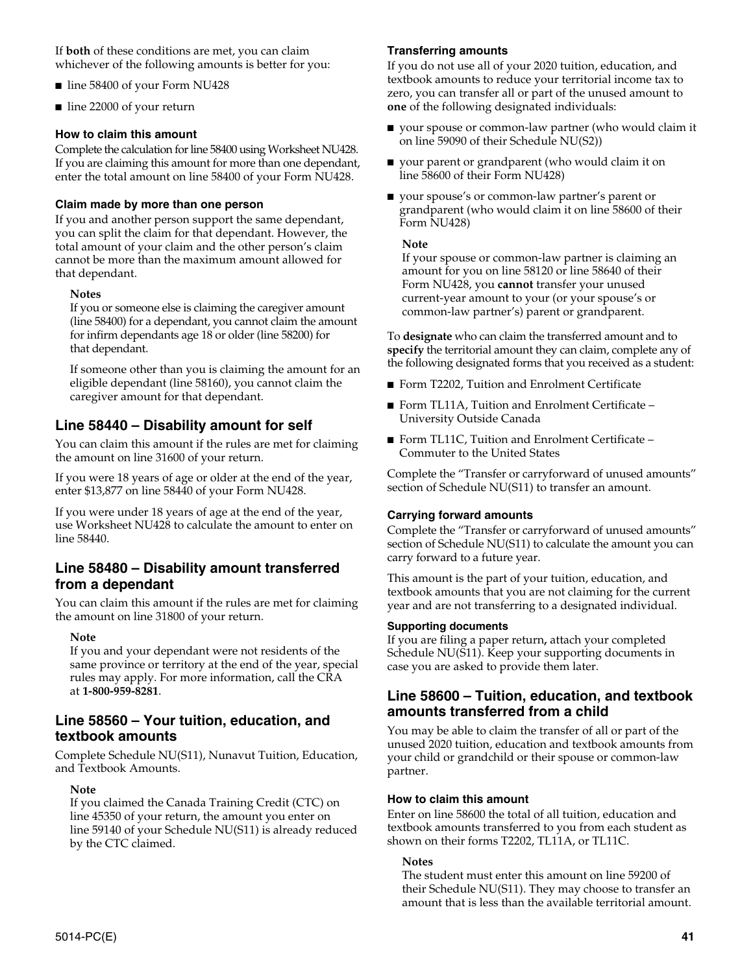If **both** of these conditions are met, you can claim whichever of the following amounts is better for you:

- line 58400 of your Form NU428
- line 22000 of your return

#### **How to claim this amount**

Complete the calculation for line 58400 using Worksheet NU428. If you are claiming this amount for more than one dependant, enter the total amount on line 58400 of your Form NU428.

#### **Claim made by more than one person**

If you and another person support the same dependant, you can split the claim for that dependant. However, the total amount of your claim and the other person's claim cannot be more than the maximum amount allowed for that dependant.

#### **Notes**

If you or someone else is claiming the caregiver amount (line 58400) for a dependant, you cannot claim the amount for infirm dependants age 18 or older (line 58200) for that dependant.

If someone other than you is claiming the amount for an eligible dependant (line 58160), you cannot claim the caregiver amount for that dependant.

### **Line 58440 – Disability amount for self**

You can claim this amount if the rules are met for claiming the amount on line 31600 of your return.

If you were 18 years of age or older at the end of the year, enter \$13,877 on line 58440 of your Form NU428.

If you were under 18 years of age at the end of the year, use Worksheet NU428 to calculate the amount to enter on line 58440.

#### **Line 58480 – Disability amount transferred from a dependant**

You can claim this amount if the rules are met for claiming the amount on line 31800 of your return.

#### **Note**

If you and your dependant were not residents of the same province or territory at the end of the year, special rules may apply. For more information, call the CRA at **1-800-959-8281**.

#### **Line 58560 – Your tuition, education, and textbook amounts**

Complete Schedule NU(S11), Nunavut Tuition, Education, and Textbook Amounts.

#### **Note**

If you claimed the Canada Training Credit (CTC) on line 45350 of your return, the amount you enter on line 59140 of your Schedule NU(S11) is already reduced by the CTC claimed.

#### **Transferring amounts**

If you do not use all of your 2020 tuition, education, and textbook amounts to reduce your territorial income tax to zero, you can transfer all or part of the unused amount to **one** of the following designated individuals:

- your spouse or common-law partner (who would claim it on line 59090 of their Schedule NU(S2))
- your parent or grandparent (who would claim it on line 58600 of their Form NU428)
- your spouse's or common-law partner's parent or grandparent (who would claim it on line 58600 of their Form NU428)

#### **Note**

If your spouse or common-law partner is claiming an amount for you on line 58120 or line 58640 of their Form NU428, you **cannot** transfer your unused current-year amount to your (or your spouse's or common-law partner's) parent or grandparent.

To **designate** who can claim the transferred amount and to **specify** the territorial amount they can claim, complete any of the following designated forms that you received as a student:

- Form T2202, Tuition and Enrolment Certificate
- Form TL11A, Tuition and Enrolment Certificate University Outside Canada
- Form TL11C, Tuition and Enrolment Certificate Commuter to the United States

Complete the "Transfer or carryforward of unused amounts" section of Schedule NU(S11) to transfer an amount.

#### **Carrying forward amounts**

Complete the "Transfer or carryforward of unused amounts" section of Schedule NU(S11) to calculate the amount you can carry forward to a future year.

This amount is the part of your tuition, education, and textbook amounts that you are not claiming for the current year and are not transferring to a designated individual.

#### **Supporting documents**

If you are filing a paper return**,** attach your completed Schedule NU(S11). Keep your supporting documents in case you are asked to provide them later.

#### **Line 58600 – Tuition, education, and textbook amounts transferred from a child**

You may be able to claim the transfer of all or part of the unused 2020 tuition, education and textbook amounts from your child or grandchild or their spouse or common-law partner.

#### **How to claim this amount**

Enter on line 58600 the total of all tuition, education and textbook amounts transferred to you from each student as shown on their forms T2202, TL11A, or TL11C.

#### **Notes**

The student must enter this amount on line 59200 of their Schedule NU(S11). They may choose to transfer an amount that is less than the available territorial amount.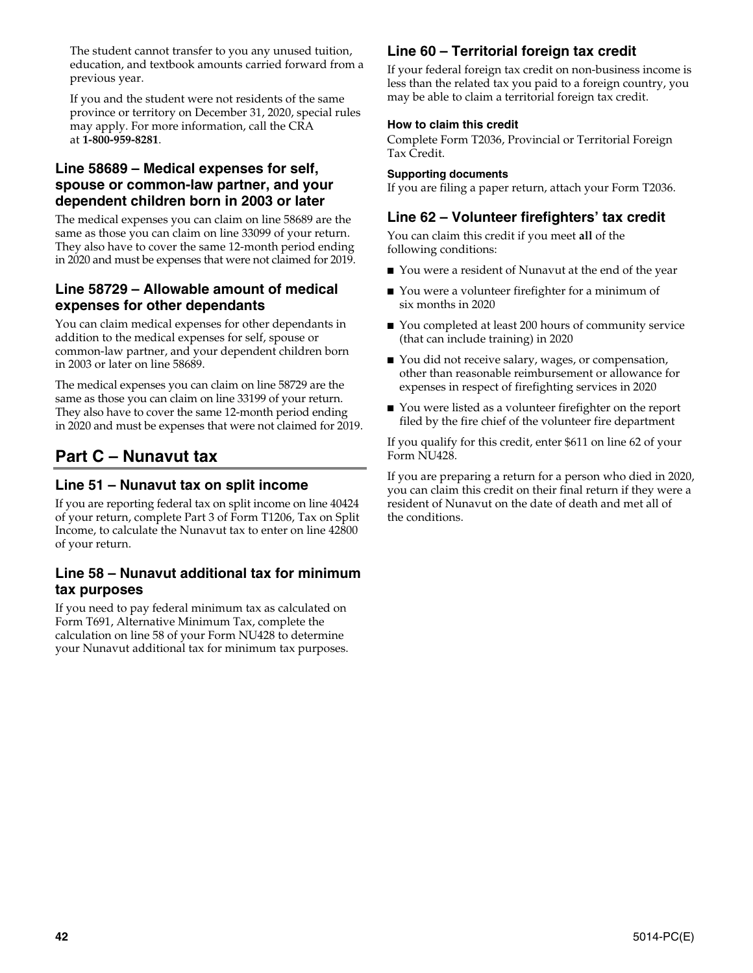The student cannot transfer to you any unused tuition, education, and textbook amounts carried forward from a previous year.

If you and the student were not residents of the same province or territory on December 31, 2020, special rules may apply. For more information, call the CRA at **1-800-959-8281**.

#### **Line 58689 – Medical expenses for self, spouse or common-law partner, and your dependent children born in 2003 or later**

The medical expenses you can claim on line 58689 are the same as those you can claim on line 33099 of your return. They also have to cover the same 12-month period ending in 2020 and must be expenses that were not claimed for 2019.

#### **Line 58729 – Allowable amount of medical expenses for other dependants**

You can claim medical expenses for other dependants in addition to the medical expenses for self, spouse or common-law partner, and your dependent children born in 2003 or later on line 58689.

The medical expenses you can claim on line 58729 are the same as those you can claim on line 33199 of your return. They also have to cover the same 12-month period ending in 2020 and must be expenses that were not claimed for 2019.

## **Part C – Nunavut tax**

### **Line 51 – Nunavut tax on split income**

If you are reporting federal tax on split income on line 40424 of your return, complete Part 3 of Form T1206, Tax on Split Income, to calculate the Nunavut tax to enter on line 42800 of your return.

#### **Line 58 – Nunavut additional tax for minimum tax purposes**

If you need to pay federal minimum tax as calculated on Form T691, Alternative Minimum Tax, complete the calculation on line 58 of your Form NU428 to determine your Nunavut additional tax for minimum tax purposes.

## **Line 60 – Territorial foreign tax credit**

If your federal foreign tax credit on non-business income is less than the related tax you paid to a foreign country, you may be able to claim a territorial foreign tax credit.

#### **How to claim this credit**

Complete Form T2036, Provincial or Territorial Foreign Tax Credit.

#### **Supporting documents**

If you are filing a paper return, attach your Form T2036.

### **Line 62 – Volunteer firefighters' tax credit**

You can claim this credit if you meet **all** of the following conditions:

- You were a resident of Nunavut at the end of the year
- You were a volunteer firefighter for a minimum of six months in 2020
- You completed at least 200 hours of community service (that can include training) in 2020
- You did not receive salary, wages, or compensation, other than reasonable reimbursement or allowance for expenses in respect of firefighting services in 2020
- You were listed as a volunteer firefighter on the report filed by the fire chief of the volunteer fire department

If you qualify for this credit, enter \$611 on line 62 of your Form NU428.

If you are preparing a return for a person who died in 2020, you can claim this credit on their final return if they were a resident of Nunavut on the date of death and met all of the conditions.